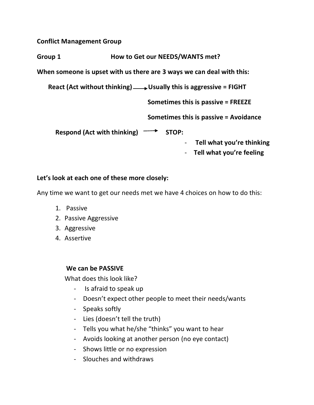**Conflict Management Group**

**Group 1 How to Get our NEEDS/WANTS met?**

**When someone is upset with us there are 3 ways we can deal with this:**

 **React (Act without thinking) Usually this is aggressive = FIGHT**

**Sometimes this is passive = FREEZE**

**Sometimes this is passive = Avoidance**

Respond (Act with thinking) **- STOP:** 

- **Tell what you're thinking**

- **Tell what you're feeling**

## **Let's look at each one of these more closely:**

Any time we want to get our needs met we have 4 choices on how to do this:

- 1. Passive
- 2. Passive Aggressive
- 3. Aggressive
- 4. Assertive

## **We can be PASSIVE**

What does this look like?

- Is afraid to speak up
- Doesn't expect other people to meet their needs/wants
- Speaks softly
- Lies (doesn't tell the truth)
- Tells you what he/she "thinks" you want to hear
- Avoids looking at another person (no eye contact)
- Shows little or no expression
- Slouches and withdraws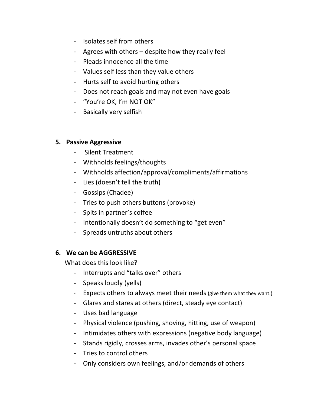- Isolates self from others
- Agrees with others despite how they really feel
- Pleads innocence all the time
- Values self less than they value others
- Hurts self to avoid hurting others
- Does not reach goals and may not even have goals
- "You're OK, I'm NOT OK"
- Basically very selfish

## **5. Passive Aggressive**

- Silent Treatment
- Withholds feelings/thoughts
- Withholds affection/approval/compliments/affirmations
- Lies (doesn't tell the truth)
- Gossips (Chadee)
- Tries to push others buttons (provoke)
- Spits in partner's coffee
- Intentionally doesn't do something to "get even"
- Spreads untruths about others

# **6. We can be AGGRESSIVE**

What does this look like?

- Interrupts and "talks over" others
- Speaks loudly (yells)
- Expects others to always meet their needs (give them what they want.)
- Glares and stares at others (direct, steady eye contact)
- Uses bad language
- Physical violence (pushing, shoving, hitting, use of weapon)
- Intimidates others with expressions (negative body language)
- Stands rigidly, crosses arms, invades other's personal space
- Tries to control others
- Only considers own feelings, and/or demands of others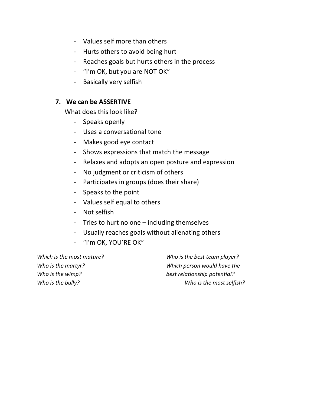- Values self more than others
- Hurts others to avoid being hurt
- Reaches goals but hurts others in the process
- "I'm OK, but you are NOT OK"
- Basically very selfish

# **7. We can be ASSERTIVE**

What does this look like?

- Speaks openly
- Uses a conversational tone
- Makes good eye contact
- Shows expressions that match the message
- Relaxes and adopts an open posture and expression
- No judgment or criticism of others
- Participates in groups (does their share)
- Speaks to the point
- Values self equal to others
- Not selfish
- Tries to hurt no one including themselves
- Usually reaches goals without alienating others
- "I'm OK, YOU'RE OK"

*Which is the most mature? Who is the best team player? Who is the martyr? Which person would have the Who is the wimp? best relationship potential? Who is the bully? Who is the most selfish?*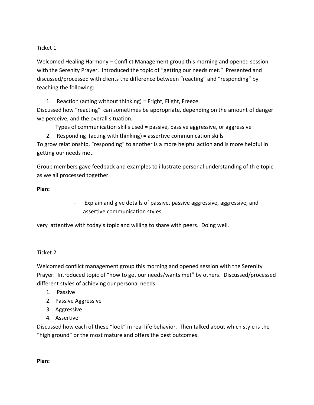### Ticket 1

Welcomed Healing Harmony – Conflict Management group this morning and opened session with the Serenity Prayer. Introduced the topic of "getting our needs met." Presented and discussed/processed with clients the difference between "reacting" and "responding" by teaching the following:

1. Reaction (acting without thinking) = Fright, Flight, Freeze. Discussed how "reacting" can sometimes be appropriate, depending on the amount of danger we perceive, and the overall situation.

Types of communication skills used = passive, passive aggressive, or aggressive

2. Responding (acting with thinking) = assertive communication skills To grow relationship, "responding" to another is a more helpful action and is more helpful in getting our needs met.

Group members gave feedback and examples to illustrate personal understanding of th e topic as we all processed together.

### **Plan:**

- Explain and give details of passive, passive aggressive, aggressive, and assertive communication styles.

very attentive with today's topic and willing to share with peers. Doing well.

#### Ticket 2:

Welcomed conflict management group this morning and opened session with the Serenity Prayer. Introduced topic of "how to get our needs/wants met" by others. Discussed/processed different styles of achieving our personal needs:

- 1. Passive
- 2. Passive Aggressive
- 3. Aggressive
- 4. Assertive

Discussed how each of these "look" in real life behavior. Then talked about which style is the "high ground" or the most mature and offers the best outcomes.

**Plan:**